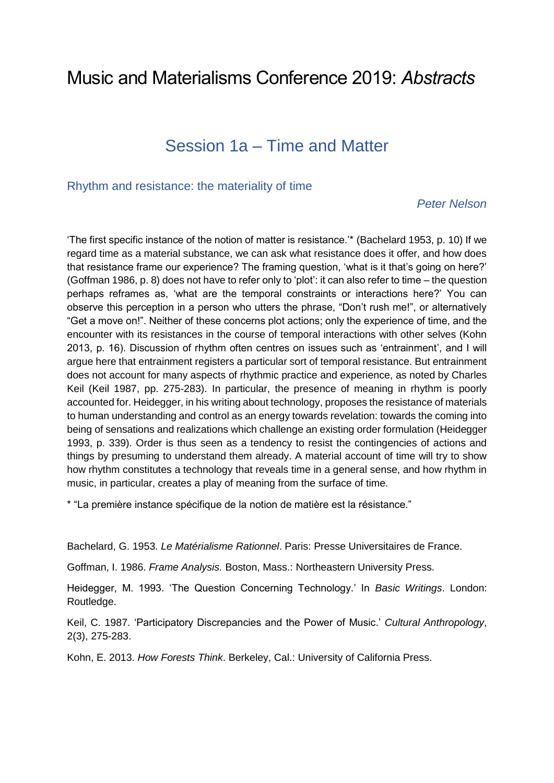# Music and Materialisms Conference 2019: *Abstracts*

# Session 1a – Time and Matter

#### Rhythm and resistance: the materiality of time

#### *Peter Nelson*

'The first specific instance of the notion of matter is resistance.'\* (Bachelard 1953, p. 10) If we regard time as a material substance, we can ask what resistance does it offer, and how does that resistance frame our experience? The framing question, 'what is it that's going on here?' (Goffman 1986, p. 8) does not have to refer only to 'plot': it can also refer to time – the question perhaps reframes as, 'what are the temporal constraints or interactions here?' You can observe this perception in a person who utters the phrase, "Don't rush me!", or alternatively "Get a move on!". Neither of these concerns plot actions; only the experience of time, and the encounter with its resistances in the course of temporal interactions with other selves (Kohn 2013, p. 16). Discussion of rhythm often centres on issues such as 'entrainment', and I will argue here that entrainment registers a particular sort of temporal resistance. But entrainment does not account for many aspects of rhythmic practice and experience, as noted by Charles Keil (Keil 1987, pp. 275-283). In particular, the presence of meaning in rhythm is poorly accounted for. Heidegger, in his writing about technology, proposes the resistance of materials to human understanding and control as an energy towards revelation: towards the coming into being of sensations and realizations which challenge an existing order formulation (Heidegger 1993, p. 339). Order is thus seen as a tendency to resist the contingencies of actions and things by presuming to understand them already. A material account of time will try to show how rhythm constitutes a technology that reveals time in a general sense, and how rhythm in music, in particular, creates a play of meaning from the surface of time.

\* "La première instance spécifique de la notion de matière est la résistance."

Bachelard, G. 1953. *Le Matérialisme Rationnel*. Paris: Presse Universitaires de France.

Goffman, I. 1986. *Frame Analysis.* Boston, Mass.: Northeastern University Press.

Heidegger, M. 1993. 'The Question Concerning Technology.' In *Basic Writings*. London: Routledge.

Keil, C. 1987. 'Participatory Discrepancies and the Power of Music.' *Cultural Anthropology*, 2(3), 275-283.

Kohn, E. 2013. *How Forests Think*. Berkeley, Cal.: University of California Press.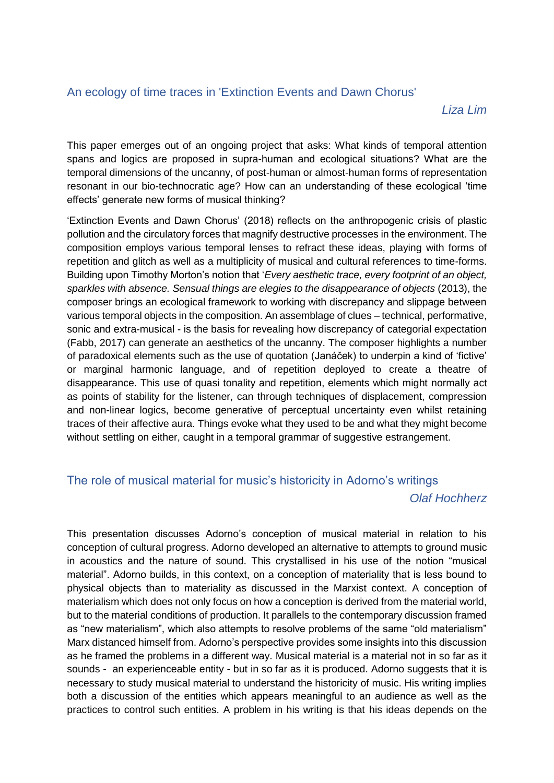## An ecology of time traces in 'Extinction Events and Dawn Chorus'

*Liza Lim*

This paper emerges out of an ongoing project that asks: What kinds of temporal attention spans and logics are proposed in supra-human and ecological situations? What are the temporal dimensions of the uncanny, of post-human or almost-human forms of representation resonant in our bio-technocratic age? How can an understanding of these ecological 'time effects' generate new forms of musical thinking?

'Extinction Events and Dawn Chorus' (2018) reflects on the anthropogenic crisis of plastic pollution and the circulatory forces that magnify destructive processes in the environment. The composition employs various temporal lenses to refract these ideas, playing with forms of repetition and glitch as well as a multiplicity of musical and cultural references to time-forms. Building upon Timothy Morton's notion that '*Every aesthetic trace, every footprint of an object, sparkles with absence. Sensual things are elegies to the disappearance of objects* (2013), the composer brings an ecological framework to working with discrepancy and slippage between various temporal objects in the composition. An assemblage of clues – technical, performative, sonic and extra-musical - is the basis for revealing how discrepancy of categorial expectation (Fabb, 2017) can generate an aesthetics of the uncanny. The composer highlights a number of paradoxical elements such as the use of quotation (Janáček) to underpin a kind of 'fictive' or marginal harmonic language, and of repetition deployed to create a theatre of disappearance. This use of quasi tonality and repetition, elements which might normally act as points of stability for the listener, can through techniques of displacement, compression and non-linear logics, become generative of perceptual uncertainty even whilst retaining traces of their affective aura. Things evoke what they used to be and what they might become without settling on either, caught in a temporal grammar of suggestive estrangement.

## The role of musical material for music's historicity in Adorno's writings

#### *Olaf Hochherz*

This presentation discusses Adorno's conception of musical material in relation to his conception of cultural progress. Adorno developed an alternative to attempts to ground music in acoustics and the nature of sound. This crystallised in his use of the notion "musical material". Adorno builds, in this context, on a conception of materiality that is less bound to physical objects than to materiality as discussed in the Marxist context. A conception of materialism which does not only focus on how a conception is derived from the material world, but to the material conditions of production. It parallels to the contemporary discussion framed as "new materialism", which also attempts to resolve problems of the same "old materialism" Marx distanced himself from. Adorno's perspective provides some insights into this discussion as he framed the problems in a different way. Musical material is a material not in so far as it sounds - an experienceable entity - but in so far as it is produced. Adorno suggests that it is necessary to study musical material to understand the historicity of music. His writing implies both a discussion of the entities which appears meaningful to an audience as well as the practices to control such entities. A problem in his writing is that his ideas depends on the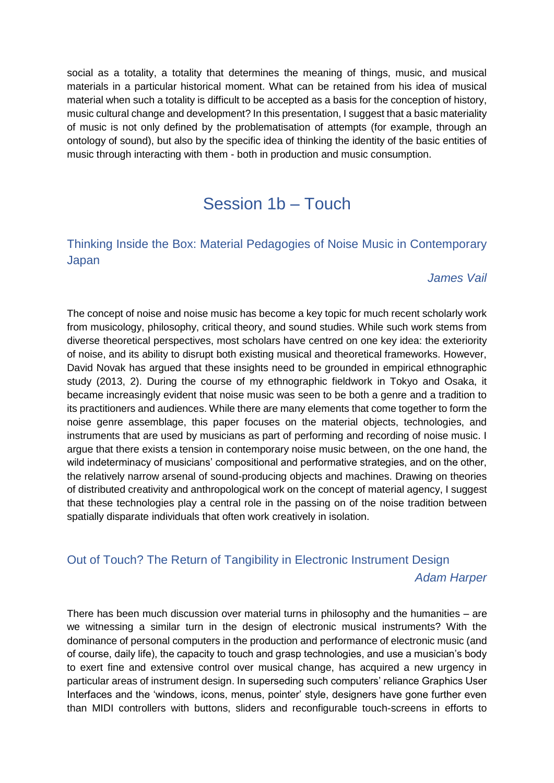social as a totality, a totality that determines the meaning of things, music, and musical materials in a particular historical moment. What can be retained from his idea of musical material when such a totality is difficult to be accepted as a basis for the conception of history, music cultural change and development? In this presentation, I suggest that a basic materiality of music is not only defined by the problematisation of attempts (for example, through an ontology of sound), but also by the specific idea of thinking the identity of the basic entities of music through interacting with them - both in production and music consumption.

# Session 1b – Touch

## Thinking Inside the Box: Material Pedagogies of Noise Music in Contemporary Japan

#### *James Vail*

The concept of noise and noise music has become a key topic for much recent scholarly work from musicology, philosophy, critical theory, and sound studies. While such work stems from diverse theoretical perspectives, most scholars have centred on one key idea: the exteriority of noise, and its ability to disrupt both existing musical and theoretical frameworks. However, David Novak has argued that these insights need to be grounded in empirical ethnographic study (2013, 2). During the course of my ethnographic fieldwork in Tokyo and Osaka, it became increasingly evident that noise music was seen to be both a genre and a tradition to its practitioners and audiences. While there are many elements that come together to form the noise genre assemblage, this paper focuses on the material objects, technologies, and instruments that are used by musicians as part of performing and recording of noise music. I argue that there exists a tension in contemporary noise music between, on the one hand, the wild indeterminacy of musicians' compositional and performative strategies, and on the other, the relatively narrow arsenal of sound-producing objects and machines. Drawing on theories of distributed creativity and anthropological work on the concept of material agency, I suggest that these technologies play a central role in the passing on of the noise tradition between spatially disparate individuals that often work creatively in isolation.

## Out of Touch? The Return of Tangibility in Electronic Instrument Design

*Adam Harper*

There has been much discussion over material turns in philosophy and the humanities – are we witnessing a similar turn in the design of electronic musical instruments? With the dominance of personal computers in the production and performance of electronic music (and of course, daily life), the capacity to touch and grasp technologies, and use a musician's body to exert fine and extensive control over musical change, has acquired a new urgency in particular areas of instrument design. In superseding such computers' reliance Graphics User Interfaces and the 'windows, icons, menus, pointer' style, designers have gone further even than MIDI controllers with buttons, sliders and reconfigurable touch-screens in efforts to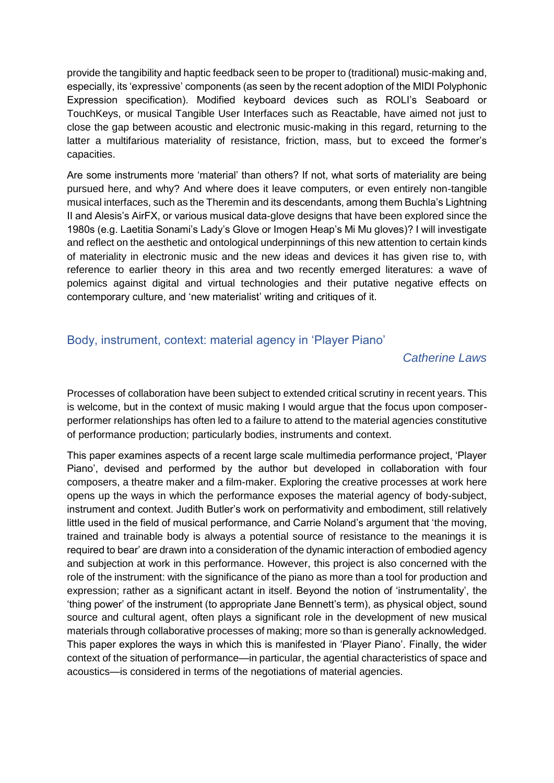provide the tangibility and haptic feedback seen to be proper to (traditional) music-making and, especially, its 'expressive' components (as seen by the recent adoption of the MIDI Polyphonic Expression specification). Modified keyboard devices such as ROLI's Seaboard or TouchKeys, or musical Tangible User Interfaces such as Reactable, have aimed not just to close the gap between acoustic and electronic music-making in this regard, returning to the latter a multifarious materiality of resistance, friction, mass, but to exceed the former's capacities.

Are some instruments more 'material' than others? If not, what sorts of materiality are being pursued here, and why? And where does it leave computers, or even entirely non-tangible musical interfaces, such as the Theremin and its descendants, among them Buchla's Lightning II and Alesis's AirFX, or various musical data-glove designs that have been explored since the 1980s (e.g. Laetitia Sonami's Lady's Glove or Imogen Heap's Mi Mu gloves)? I will investigate and reflect on the aesthetic and ontological underpinnings of this new attention to certain kinds of materiality in electronic music and the new ideas and devices it has given rise to, with reference to earlier theory in this area and two recently emerged literatures: a wave of polemics against digital and virtual technologies and their putative negative effects on contemporary culture, and 'new materialist' writing and critiques of it.

### Body, instrument, context: material agency in 'Player Piano'

#### *Catherine Laws*

Processes of collaboration have been subject to extended critical scrutiny in recent years. This is welcome, but in the context of music making I would argue that the focus upon composerperformer relationships has often led to a failure to attend to the material agencies constitutive of performance production; particularly bodies, instruments and context.

This paper examines aspects of a recent large scale multimedia performance project, 'Player Piano', devised and performed by the author but developed in collaboration with four composers, a theatre maker and a film-maker. Exploring the creative processes at work here opens up the ways in which the performance exposes the material agency of body-subject, instrument and context. Judith Butler's work on performativity and embodiment, still relatively little used in the field of musical performance, and Carrie Noland's argument that 'the moving, trained and trainable body is always a potential source of resistance to the meanings it is required to bear' are drawn into a consideration of the dynamic interaction of embodied agency and subjection at work in this performance. However, this project is also concerned with the role of the instrument: with the significance of the piano as more than a tool for production and expression; rather as a significant actant in itself. Beyond the notion of 'instrumentality', the 'thing power' of the instrument (to appropriate Jane Bennett's term), as physical object, sound source and cultural agent, often plays a significant role in the development of new musical materials through collaborative processes of making; more so than is generally acknowledged. This paper explores the ways in which this is manifested in 'Player Piano'. Finally, the wider context of the situation of performance—in particular, the agential characteristics of space and acoustics—is considered in terms of the negotiations of material agencies.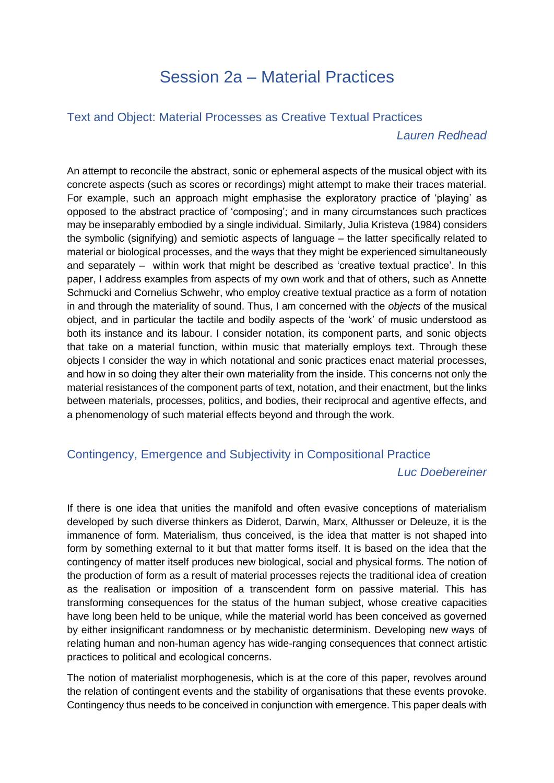# Session 2a – Material Practices

#### Text and Object: Material Processes as Creative Textual Practices

*Lauren Redhead*

An attempt to reconcile the abstract, sonic or ephemeral aspects of the musical object with its concrete aspects (such as scores or recordings) might attempt to make their traces material. For example, such an approach might emphasise the exploratory practice of 'playing' as opposed to the abstract practice of 'composing'; and in many circumstances such practices may be inseparably embodied by a single individual. Similarly, Julia Kristeva (1984) considers the symbolic (signifying) and semiotic aspects of language – the latter specifically related to material or biological processes, and the ways that they might be experienced simultaneously and separately – within work that might be described as 'creative textual practice'. In this paper, I address examples from aspects of my own work and that of others, such as Annette Schmucki and Cornelius Schwehr, who employ creative textual practice as a form of notation in and through the materiality of sound. Thus, I am concerned with the *objects* of the musical object, and in particular the tactile and bodily aspects of the 'work' of music understood as both its instance and its labour. I consider notation, its component parts, and sonic objects that take on a material function, within music that materially employs text. Through these objects I consider the way in which notational and sonic practices enact material processes, and how in so doing they alter their own materiality from the inside. This concerns not only the material resistances of the component parts of text, notation, and their enactment, but the links between materials, processes, politics, and bodies, their reciprocal and agentive effects, and a phenomenology of such material effects beyond and through the work.

## Contingency, Emergence and Subjectivity in Compositional Practice

#### *Luc Doebereiner*

If there is one idea that unities the manifold and often evasive conceptions of materialism developed by such diverse thinkers as Diderot, Darwin, Marx, Althusser or Deleuze, it is the immanence of form. Materialism, thus conceived, is the idea that matter is not shaped into form by something external to it but that matter forms itself. It is based on the idea that the contingency of matter itself produces new biological, social and physical forms. The notion of the production of form as a result of material processes rejects the traditional idea of creation as the realisation or imposition of a transcendent form on passive material. This has transforming consequences for the status of the human subject, whose creative capacities have long been held to be unique, while the material world has been conceived as governed by either insignificant randomness or by mechanistic determinism. Developing new ways of relating human and non-human agency has wide-ranging consequences that connect artistic practices to political and ecological concerns.

The notion of materialist morphogenesis, which is at the core of this paper, revolves around the relation of contingent events and the stability of organisations that these events provoke. Contingency thus needs to be conceived in conjunction with emergence. This paper deals with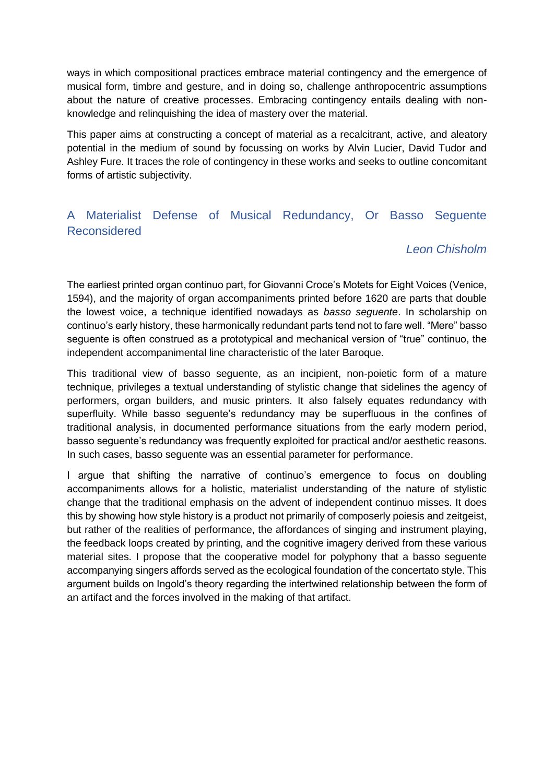ways in which compositional practices embrace material contingency and the emergence of musical form, timbre and gesture, and in doing so, challenge anthropocentric assumptions about the nature of creative processes. Embracing contingency entails dealing with nonknowledge and relinquishing the idea of mastery over the material.

This paper aims at constructing a concept of material as a recalcitrant, active, and aleatory potential in the medium of sound by focussing on works by Alvin Lucier, David Tudor and Ashley Fure. It traces the role of contingency in these works and seeks to outline concomitant forms of artistic subjectivity.

## A Materialist Defense of Musical Redundancy, Or Basso Seguente Reconsidered

### *Leon Chisholm*

The earliest printed organ continuo part, for Giovanni Croce's Motets for Eight Voices (Venice, 1594), and the majority of organ accompaniments printed before 1620 are parts that double the lowest voice, a technique identified nowadays as *basso seguente*. In scholarship on continuo's early history, these harmonically redundant parts tend not to fare well. "Mere" basso seguente is often construed as a prototypical and mechanical version of "true" continuo, the independent accompanimental line characteristic of the later Baroque.

This traditional view of basso seguente, as an incipient, non-poietic form of a mature technique, privileges a textual understanding of stylistic change that sidelines the agency of performers, organ builders, and music printers. It also falsely equates redundancy with superfluity. While basso seguente's redundancy may be superfluous in the confines of traditional analysis, in documented performance situations from the early modern period, basso seguente's redundancy was frequently exploited for practical and/or aesthetic reasons. In such cases, basso seguente was an essential parameter for performance.

I argue that shifting the narrative of continuo's emergence to focus on doubling accompaniments allows for a holistic, materialist understanding of the nature of stylistic change that the traditional emphasis on the advent of independent continuo misses. It does this by showing how style history is a product not primarily of composerly poiesis and zeitgeist, but rather of the realities of performance, the affordances of singing and instrument playing, the feedback loops created by printing, and the cognitive imagery derived from these various material sites. I propose that the cooperative model for polyphony that a basso seguente accompanying singers affords served as the ecological foundation of the concertato style. This argument builds on Ingold's theory regarding the intertwined relationship between the form of an artifact and the forces involved in the making of that artifact.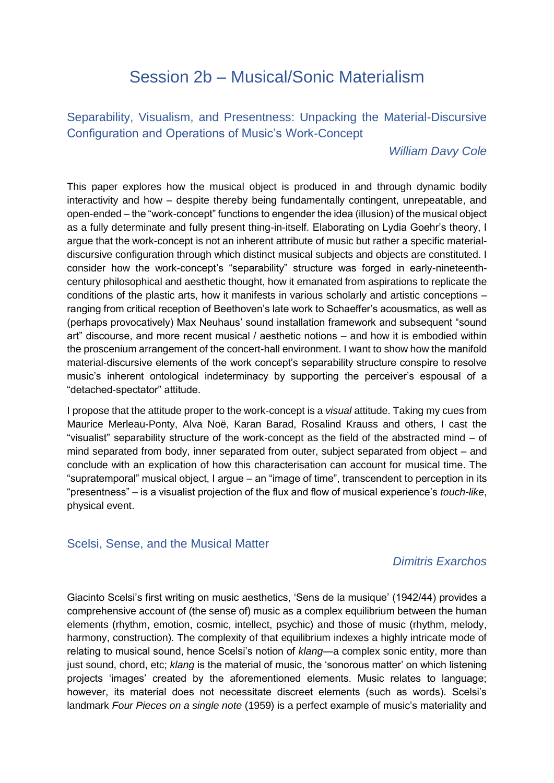# Session 2b – Musical/Sonic Materialism

Separability, Visualism, and Presentness: Unpacking the Material-Discursive Configuration and Operations of Music's Work-Concept

#### *William Davy Cole*

This paper explores how the musical object is produced in and through dynamic bodily interactivity and how – despite thereby being fundamentally contingent, unrepeatable, and open-ended – the "work-concept" functions to engender the idea (illusion) of the musical object as a fully determinate and fully present thing-in-itself. Elaborating on Lydia Goehr's theory, I argue that the work-concept is not an inherent attribute of music but rather a specific materialdiscursive configuration through which distinct musical subjects and objects are constituted. I consider how the work-concept's "separability" structure was forged in early-nineteenthcentury philosophical and aesthetic thought, how it emanated from aspirations to replicate the conditions of the plastic arts, how it manifests in various scholarly and artistic conceptions – ranging from critical reception of Beethoven's late work to Schaeffer's acousmatics, as well as (perhaps provocatively) Max Neuhaus' sound installation framework and subsequent "sound art" discourse, and more recent musical / aesthetic notions – and how it is embodied within the proscenium arrangement of the concert-hall environment. I want to show how the manifold material-discursive elements of the work concept's separability structure conspire to resolve music's inherent ontological indeterminacy by supporting the perceiver's espousal of a "detached-spectator" attitude.

I propose that the attitude proper to the work-concept is a *visual* attitude. Taking my cues from Maurice Merleau-Ponty, Alva Noë, Karan Barad, Rosalind Krauss and others, I cast the "visualist" separability structure of the work-concept as the field of the abstracted mind – of mind separated from body, inner separated from outer, subject separated from object – and conclude with an explication of how this characterisation can account for musical time. The "supratemporal" musical object, I argue – an "image of time", transcendent to perception in its "presentness" – is a visualist projection of the flux and flow of musical experience's *touch-like*, physical event.

### Scelsi, Sense, and the Musical Matter

### *Dimitris Exarchos*

Giacinto Scelsi's first writing on music aesthetics, 'Sens de la musique' (1942/44) provides a comprehensive account of (the sense of) music as a complex equilibrium between the human elements (rhythm, emotion, cosmic, intellect, psychic) and those of music (rhythm, melody, harmony, construction). The complexity of that equilibrium indexes a highly intricate mode of relating to musical sound, hence Scelsi's notion of *klang—*a complex sonic entity, more than just sound, chord, etc; *klang* is the material of music, the 'sonorous matter' on which listening projects 'images' created by the aforementioned elements. Music relates to language; however, its material does not necessitate discreet elements (such as words). Scelsi's landmark *Four Pieces on a single note* (1959) is a perfect example of music's materiality and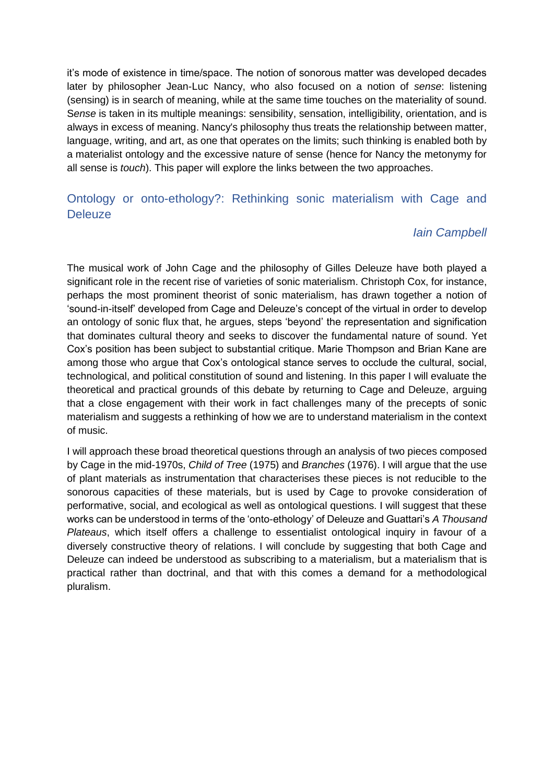it's mode of existence in time/space. The notion of sonorous matter was developed decades later by philosopher Jean-Luc Nancy, who also focused on a notion of *sense*: listening (sensing) is in search of meaning, while at the same time touches on the materiality of sound. Sense is taken in its multiple meanings: sensibility, sensation, intelligibility, orientation, and is always in excess of meaning. Nancy's philosophy thus treats the relationship between matter, language, writing, and art, as one that operates on the limits; such thinking is enabled both by a materialist ontology and the excessive nature of sense (hence for Nancy the metonymy for all sense is *touch*). This paper will explore the links between the two approaches.

## Ontology or onto-ethology?: Rethinking sonic materialism with Cage and **Deleuze**

### *Iain Campbell*

The musical work of John Cage and the philosophy of Gilles Deleuze have both played a significant role in the recent rise of varieties of sonic materialism. Christoph Cox, for instance, perhaps the most prominent theorist of sonic materialism, has drawn together a notion of 'sound-in-itself' developed from Cage and Deleuze's concept of the virtual in order to develop an ontology of sonic flux that, he argues, steps 'beyond' the representation and signification that dominates cultural theory and seeks to discover the fundamental nature of sound. Yet Cox's position has been subject to substantial critique. Marie Thompson and Brian Kane are among those who argue that Cox's ontological stance serves to occlude the cultural, social, technological, and political constitution of sound and listening. In this paper I will evaluate the theoretical and practical grounds of this debate by returning to Cage and Deleuze, arguing that a close engagement with their work in fact challenges many of the precepts of sonic materialism and suggests a rethinking of how we are to understand materialism in the context of music.

I will approach these broad theoretical questions through an analysis of two pieces composed by Cage in the mid-1970s, *Child of Tree* (1975) and *Branches* (1976). I will argue that the use of plant materials as instrumentation that characterises these pieces is not reducible to the sonorous capacities of these materials, but is used by Cage to provoke consideration of performative, social, and ecological as well as ontological questions. I will suggest that these works can be understood in terms of the 'onto-ethology' of Deleuze and Guattari's *A Thousand Plateaus*, which itself offers a challenge to essentialist ontological inquiry in favour of a diversely constructive theory of relations. I will conclude by suggesting that both Cage and Deleuze can indeed be understood as subscribing to a materialism, but a materialism that is practical rather than doctrinal, and that with this comes a demand for a methodological pluralism.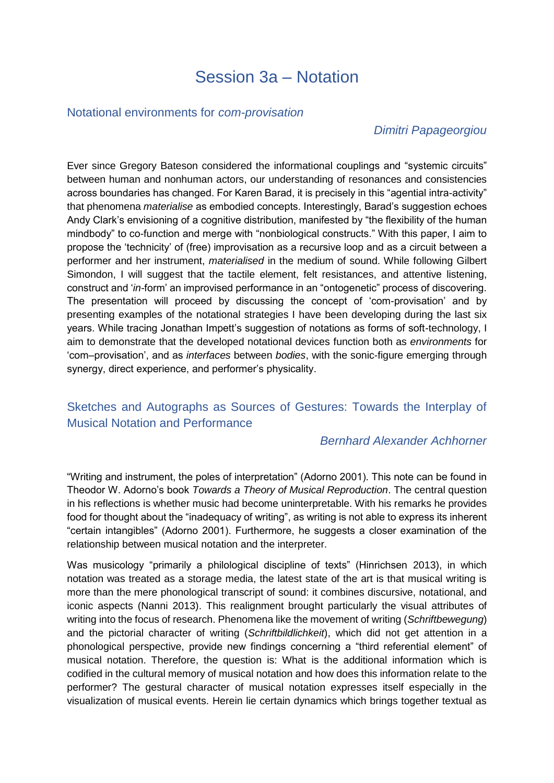# Session 3a – Notation

#### Notational environments for *com-provisation*

### *Dimitri Papageorgiou*

Ever since Gregory Bateson considered the informational couplings and "systemic circuits" between human and nonhuman actors, our understanding of resonances and consistencies across boundaries has changed. For Karen Barad, it is precisely in this "agential intra-activity" that phenomena *materialise* as embodied concepts. Interestingly, Barad's suggestion echoes Andy Clark's envisioning of a cognitive distribution, manifested by "the flexibility of the human mindbody" to co-function and merge with "nonbiological constructs." With this paper, I aim to propose the 'technicity' of (free) improvisation as a recursive loop and as a circuit between a performer and her instrument, *materialised* in the medium of sound. While following Gilbert Simondon, I will suggest that the tactile element, felt resistances, and attentive listening, construct and '*in-*form' an improvised performance in an "ontogenetic" process of discovering. The presentation will proceed by discussing the concept of 'com-provisation' and by presenting examples of the notational strategies I have been developing during the last six years. While tracing Jonathan Impett's suggestion of notations as forms of soft-technology, I aim to demonstrate that the developed notational devices function both as *environments* for 'com–provisation', and as *interfaces* between *bodies*, with the sonic-figure emerging through synergy, direct experience, and performer's physicality.

## Sketches and Autographs as Sources of Gestures: Towards the Interplay of Musical Notation and Performance

### *Bernhard Alexander Achhorner*

"Writing and instrument, the poles of interpretation" (Adorno 2001). This note can be found in Theodor W. Adorno's book *Towards a Theory of Musical Reproduction*. The central question in his reflections is whether music had become uninterpretable. With his remarks he provides food for thought about the "inadequacy of writing", as writing is not able to express its inherent "certain intangibles" (Adorno 2001). Furthermore, he suggests a closer examination of the relationship between musical notation and the interpreter.

Was musicology "primarily a philological discipline of texts" (Hinrichsen 2013), in which notation was treated as a storage media, the latest state of the art is that musical writing is more than the mere phonological transcript of sound: it combines discursive, notational, and iconic aspects (Nanni 2013). This realignment brought particularly the visual attributes of writing into the focus of research. Phenomena like the movement of writing (*Schriftbewegung*) and the pictorial character of writing (*Schriftbildlichkeit*), which did not get attention in a phonological perspective, provide new findings concerning a "third referential element" of musical notation. Therefore, the question is: What is the additional information which is codified in the cultural memory of musical notation and how does this information relate to the performer? The gestural character of musical notation expresses itself especially in the visualization of musical events. Herein lie certain dynamics which brings together textual as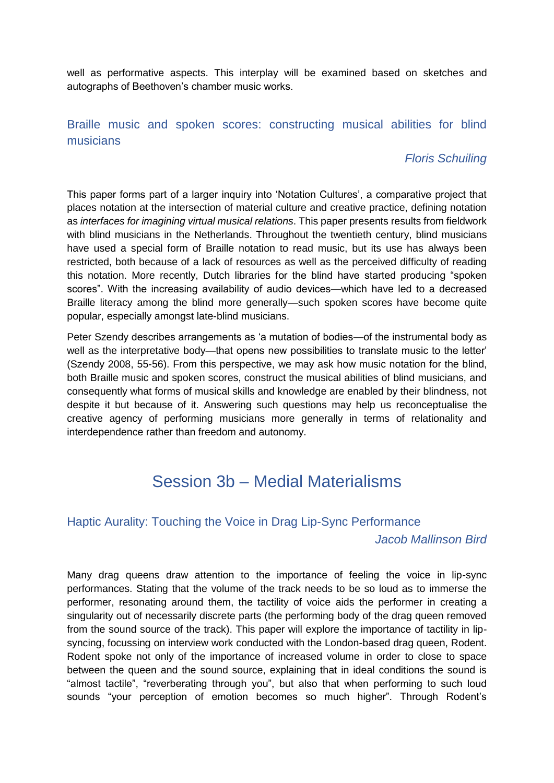well as performative aspects. This interplay will be examined based on sketches and autographs of Beethoven's chamber music works.

## Braille music and spoken scores: constructing musical abilities for blind musicians

## *Floris Schuiling*

This paper forms part of a larger inquiry into 'Notation Cultures', a comparative project that places notation at the intersection of material culture and creative practice, defining notation as *interfaces for imagining virtual musical relations*. This paper presents results from fieldwork with blind musicians in the Netherlands. Throughout the twentieth century, blind musicians have used a special form of Braille notation to read music, but its use has always been restricted, both because of a lack of resources as well as the perceived difficulty of reading this notation. More recently, Dutch libraries for the blind have started producing "spoken scores". With the increasing availability of audio devices—which have led to a decreased Braille literacy among the blind more generally—such spoken scores have become quite popular, especially amongst late-blind musicians.

Peter Szendy describes arrangements as 'a mutation of bodies—of the instrumental body as well as the interpretative body—that opens new possibilities to translate music to the letter' (Szendy 2008, 55-56). From this perspective, we may ask how music notation for the blind, both Braille music and spoken scores, construct the musical abilities of blind musicians, and consequently what forms of musical skills and knowledge are enabled by their blindness, not despite it but because of it. Answering such questions may help us reconceptualise the creative agency of performing musicians more generally in terms of relationality and interdependence rather than freedom and autonomy.

# Session 3b – Medial Materialisms

### Haptic Aurality: Touching the Voice in Drag Lip-Sync Performance

### *Jacob Mallinson Bird*

Many drag queens draw attention to the importance of feeling the voice in lip-sync performances. Stating that the volume of the track needs to be so loud as to immerse the performer, resonating around them, the tactility of voice aids the performer in creating a singularity out of necessarily discrete parts (the performing body of the drag queen removed from the sound source of the track). This paper will explore the importance of tactility in lipsyncing, focussing on interview work conducted with the London-based drag queen, Rodent. Rodent spoke not only of the importance of increased volume in order to close to space between the queen and the sound source, explaining that in ideal conditions the sound is "almost tactile", "reverberating through you", but also that when performing to such loud sounds "your perception of emotion becomes so much higher". Through Rodent's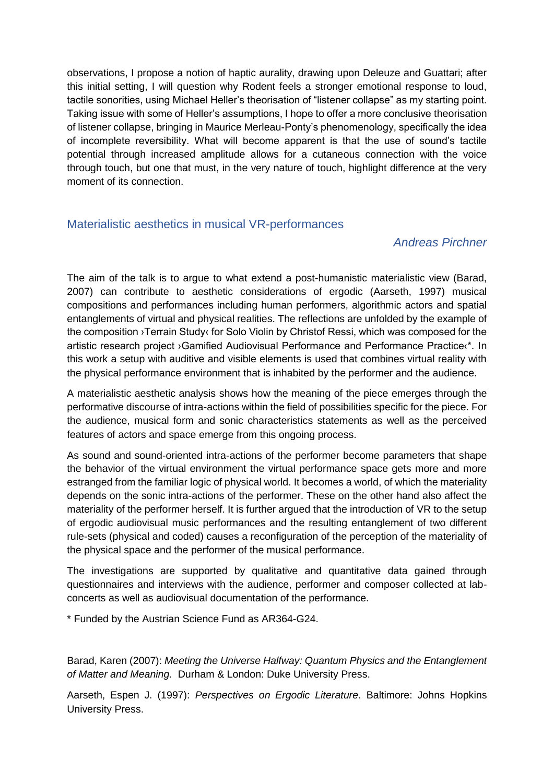observations, I propose a notion of haptic aurality, drawing upon Deleuze and Guattari; after this initial setting, I will question why Rodent feels a stronger emotional response to loud, tactile sonorities, using Michael Heller's theorisation of "listener collapse" as my starting point. Taking issue with some of Heller's assumptions, I hope to offer a more conclusive theorisation of listener collapse, bringing in Maurice Merleau-Ponty's phenomenology, specifically the idea of incomplete reversibility. What will become apparent is that the use of sound's tactile potential through increased amplitude allows for a cutaneous connection with the voice through touch, but one that must, in the very nature of touch, highlight difference at the very moment of its connection.

### Materialistic aesthetics in musical VR-performances

### *Andreas Pirchner*

The aim of the talk is to argue to what extend a post-humanistic materialistic view (Barad, 2007) can contribute to aesthetic considerations of ergodic (Aarseth, 1997) musical compositions and performances including human performers, algorithmic actors and spatial entanglements of virtual and physical realities. The reflections are unfolded by the example of the composition ›Terrain Study‹ for Solo Violin by Christof Ressi, which was composed for the artistic research project ›Gamified Audiovisual Performance and Performance Practice‹\*. In this work a setup with auditive and visible elements is used that combines virtual reality with the physical performance environment that is inhabited by the performer and the audience.

A materialistic aesthetic analysis shows how the meaning of the piece emerges through the performative discourse of intra-actions within the field of possibilities specific for the piece. For the audience, musical form and sonic characteristics statements as well as the perceived features of actors and space emerge from this ongoing process.

As sound and sound-oriented intra-actions of the performer become parameters that shape the behavior of the virtual environment the virtual performance space gets more and more estranged from the familiar logic of physical world. It becomes a world, of which the materiality depends on the sonic intra-actions of the performer. These on the other hand also affect the materiality of the performer herself. It is further argued that the introduction of VR to the setup of ergodic audiovisual music performances and the resulting entanglement of two different rule-sets (physical and coded) causes a reconfiguration of the perception of the materiality of the physical space and the performer of the musical performance.

The investigations are supported by qualitative and quantitative data gained through questionnaires and interviews with the audience, performer and composer collected at labconcerts as well as audiovisual documentation of the performance.

\* Funded by the Austrian Science Fund as AR364-G24.

Barad, Karen (2007): *Meeting the Universe Halfway: Quantum Physics and the Entanglement of Matter and Meaning.* Durham & London: Duke University Press.

Aarseth, Espen J. (1997): *Perspectives on Ergodic Literature*. Baltimore: Johns Hopkins University Press.